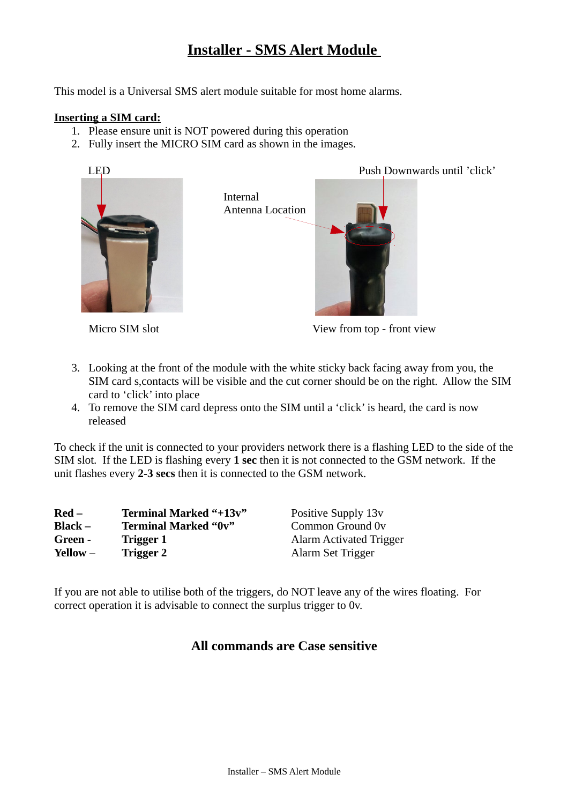# **Installer - SMS Alert Module**

This model is a Universal SMS alert module suitable for most home alarms.

### **Inserting a SIM card:**

- 1. Please ensure unit is NOT powered during this operation
- 2. Fully insert the MICRO SIM card as shown in the images.



LED Push Downwards until 'click'



Micro SIM slot View from top - front view

- 3. Looking at the front of the module with the white sticky back facing away from you, the SIM card s,contacts will be visible and the cut corner should be on the right. Allow the SIM card to 'click' into place
- 4. To remove the SIM card depress onto the SIM until a 'click' is heard, the card is now released

To check if the unit is connected to your providers network there is a flashing LED to the side of the SIM slot. If the LED is flashing every **1 sec** then it is not connected to the GSM network. If the unit flashes every **2-3 secs** then it is connected to the GSM network.

| $\bf{Red}$ $-$    | <b>Terminal Marked "+13v"</b> | Positive Supply 13v     |
|-------------------|-------------------------------|-------------------------|
| <b>Black –</b>    | <b>Terminal Marked "0v"</b>   | Common Ground 0y        |
| Green -           | <b>Trigger 1</b>              | Alarm Activated Trigger |
| <b>Yellow</b> $-$ | Trigger 2                     | Alarm Set Trigger       |

If you are not able to utilise both of the triggers, do NOT leave any of the wires floating. For correct operation it is advisable to connect the surplus trigger to 0v.

## **All commands are Case sensitive**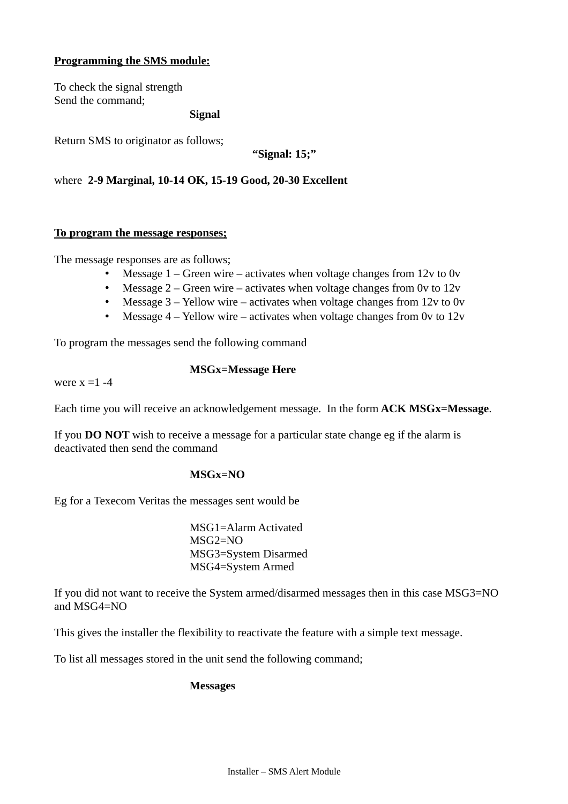## **Programming the SMS module:**

To check the signal strength Send the command;

**Signal** 

Return SMS to originator as follows;

**"Signal: 15;"**

where **2-9 Marginal, 10-14 OK, 15-19 Good, 20-30 Excellent**

#### **To program the message responses;**

The message responses are as follows;

- Message 1 Green wire activates when voltage changes from 12v to 0v
- Message  $2 -$  Green wire activates when voltage changes from 0v to 12v
- Message  $3 -$  Yellow wire activates when voltage changes from 12y to 0y
- Message  $4$  Yellow wire activates when voltage changes from 0y to  $12v$

To program the messages send the following command

were  $x = 1 - 4$ 

#### **MSGx=Message Here**

Each time you will receive an acknowledgement message. In the form **ACK MSGx=Message**.

If you **DO NOT** wish to receive a message for a particular state change eg if the alarm is deactivated then send the command

#### **MSGx=NO**

Eg for a Texecom Veritas the messages sent would be

MSG1=Alarm Activated MSG2=NO MSG3=System Disarmed MSG4=System Armed

If you did not want to receive the System armed/disarmed messages then in this case MSG3=NO and MSG4=NO

This gives the installer the flexibility to reactivate the feature with a simple text message.

To list all messages stored in the unit send the following command;

#### **Messages**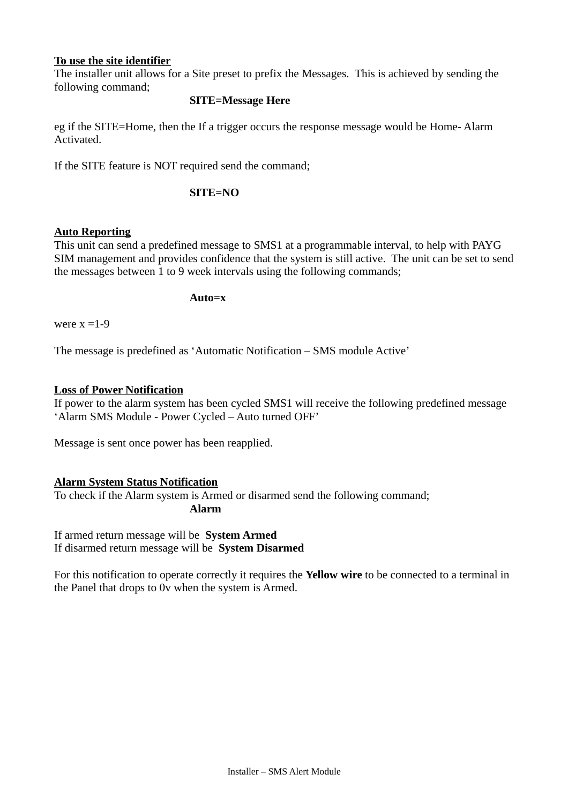### **To use the site identifier**

The installer unit allows for a Site preset to prefix the Messages. This is achieved by sending the following command;

## **SITE=Message Here**

eg if the SITE=Home, then the If a trigger occurs the response message would be Home- Alarm Activated.

If the SITE feature is NOT required send the command;

### **SITE=NO**

## **Auto Reporting**

This unit can send a predefined message to SMS1 at a programmable interval, to help with PAYG SIM management and provides confidence that the system is still active. The unit can be set to send the messages between 1 to 9 week intervals using the following commands;

#### **Auto=x**

were  $x = 1-9$ 

The message is predefined as 'Automatic Notification – SMS module Active'

#### **Loss of Power Notification**

If power to the alarm system has been cycled SMS1 will receive the following predefined message 'Alarm SMS Module - Power Cycled – Auto turned OFF'

Message is sent once power has been reapplied.

#### **Alarm System Status Notification**

To check if the Alarm system is Armed or disarmed send the following command; **Alarm**

If armed return message will be **System Armed** If disarmed return message will be **System Disarmed**

For this notification to operate correctly it requires the **Yellow wire** to be connected to a terminal in the Panel that drops to 0v when the system is Armed.